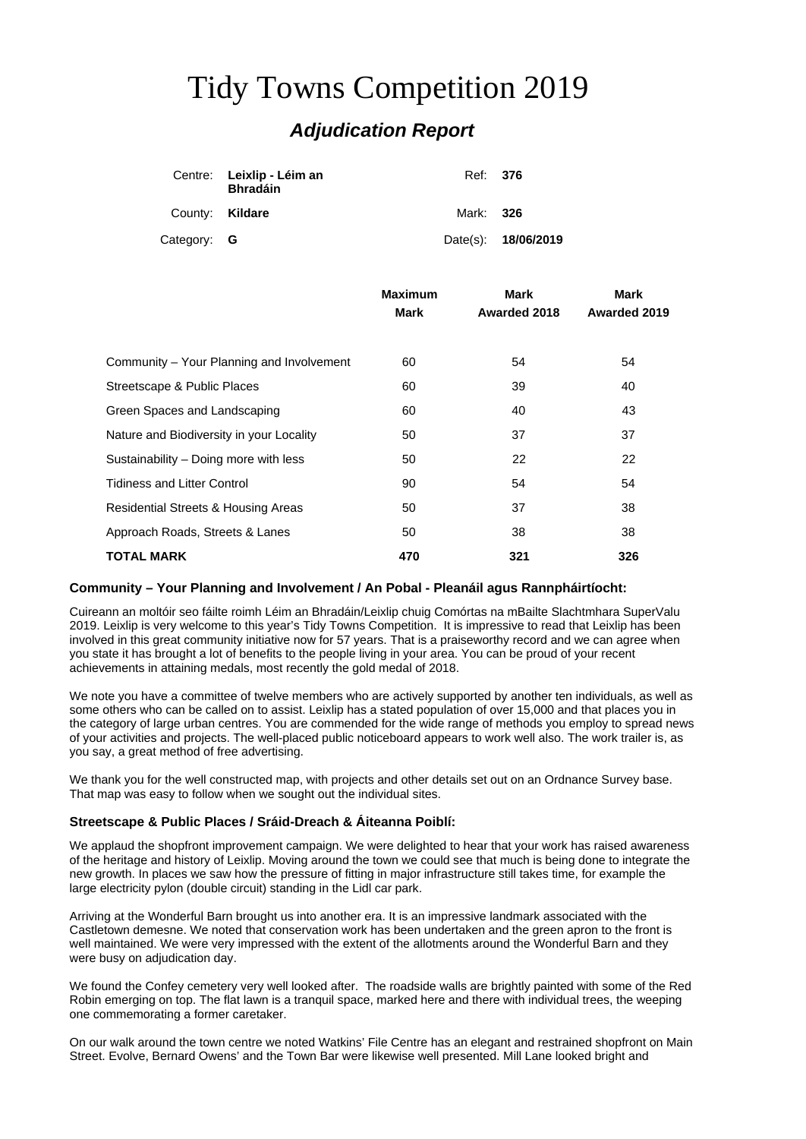# Tidy Towns Competition 2019 *Adjudication Report*

|                 | Centre: Leixlip - Léim an<br><b>Bhradáin</b> | Ref: 376  |                     |
|-----------------|----------------------------------------------|-----------|---------------------|
| County: Kildare |                                              | Mark: 326 |                     |
| Category: G     |                                              |           | Date(s): 18/06/2019 |

|                                           | <b>Maximum</b><br><b>Mark</b> | <b>Mark</b><br>Awarded 2018 | Mark<br>Awarded 2019 |
|-------------------------------------------|-------------------------------|-----------------------------|----------------------|
|                                           |                               |                             |                      |
|                                           |                               |                             |                      |
| Community – Your Planning and Involvement | 60                            | 54                          | 54                   |
| Streetscape & Public Places               | 60                            | 39                          | 40                   |
| Green Spaces and Landscaping              | 60                            | 40                          | 43                   |
| Nature and Biodiversity in your Locality  | 50                            | 37                          | 37                   |
| Sustainability - Doing more with less     | 50                            | 22                          | 22                   |
| <b>Tidiness and Litter Control</b>        | 90                            | 54                          | 54                   |
| Residential Streets & Housing Areas       | 50                            | 37                          | 38                   |
| Approach Roads, Streets & Lanes           | 50                            | 38                          | 38                   |
| TOTAL MARK                                | 470                           | 321                         | 326                  |

# **Community – Your Planning and Involvement / An Pobal - Pleanáil agus Rannpháirtíocht:**

Cuireann an moltóir seo fáilte roimh Léim an Bhradáin/Leixlip chuig Comórtas na mBailte Slachtmhara SuperValu 2019. Leixlip is very welcome to this year's Tidy Towns Competition. It is impressive to read that Leixlip has been involved in this great community initiative now for 57 years. That is a praiseworthy record and we can agree when you state it has brought a lot of benefits to the people living in your area. You can be proud of your recent achievements in attaining medals, most recently the gold medal of 2018.

We note you have a committee of twelve members who are actively supported by another ten individuals, as well as some others who can be called on to assist. Leixlip has a stated population of over 15,000 and that places you in the category of large urban centres. You are commended for the wide range of methods you employ to spread news of your activities and projects. The well-placed public noticeboard appears to work well also. The work trailer is, as you say, a great method of free advertising.

We thank you for the well constructed map, with projects and other details set out on an Ordnance Survey base. That map was easy to follow when we sought out the individual sites.

# **Streetscape & Public Places / Sráid-Dreach & Áiteanna Poiblí:**

We applaud the shopfront improvement campaign. We were delighted to hear that your work has raised awareness of the heritage and history of Leixlip. Moving around the town we could see that much is being done to integrate the new growth. In places we saw how the pressure of fitting in major infrastructure still takes time, for example the large electricity pylon (double circuit) standing in the Lidl car park.

Arriving at the Wonderful Barn brought us into another era. It is an impressive landmark associated with the Castletown demesne. We noted that conservation work has been undertaken and the green apron to the front is well maintained. We were very impressed with the extent of the allotments around the Wonderful Barn and they were busy on adjudication day.

We found the Confey cemetery very well looked after. The roadside walls are brightly painted with some of the Red Robin emerging on top. The flat lawn is a tranquil space, marked here and there with individual trees, the weeping one commemorating a former caretaker.

On our walk around the town centre we noted Watkins' File Centre has an elegant and restrained shopfront on Main Street. Evolve, Bernard Owens' and the Town Bar were likewise well presented. Mill Lane looked bright and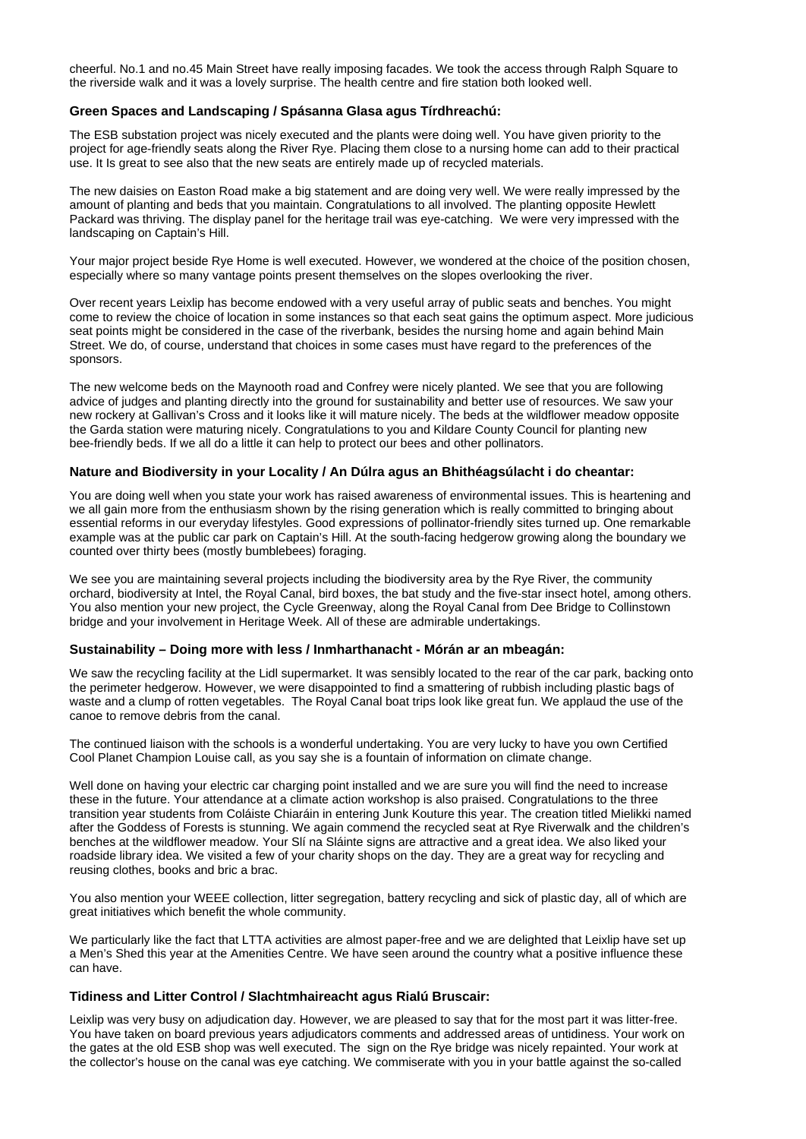cheerful. No.1 and no.45 Main Street have really imposing facades. We took the access through Ralph Square to the riverside walk and it was a lovely surprise. The health centre and fire station both looked well.

#### **Green Spaces and Landscaping / Spásanna Glasa agus Tírdhreachú:**

The ESB substation project was nicely executed and the plants were doing well. You have given priority to the project for age-friendly seats along the River Rye. Placing them close to a nursing home can add to their practical use. It Is great to see also that the new seats are entirely made up of recycled materials.

The new daisies on Easton Road make a big statement and are doing very well. We were really impressed by the amount of planting and beds that you maintain. Congratulations to all involved. The planting opposite Hewlett Packard was thriving. The display panel for the heritage trail was eye-catching. We were very impressed with the landscaping on Captain's Hill.

Your major project beside Rye Home is well executed. However, we wondered at the choice of the position chosen, especially where so many vantage points present themselves on the slopes overlooking the river.

Over recent years Leixlip has become endowed with a very useful array of public seats and benches. You might come to review the choice of location in some instances so that each seat gains the optimum aspect. More judicious seat points might be considered in the case of the riverbank, besides the nursing home and again behind Main Street. We do, of course, understand that choices in some cases must have regard to the preferences of the sponsors.

The new welcome beds on the Maynooth road and Confrey were nicely planted. We see that you are following advice of judges and planting directly into the ground for sustainability and better use of resources. We saw your new rockery at Gallivan's Cross and it looks like it will mature nicely. The beds at the wildflower meadow opposite the Garda station were maturing nicely. Congratulations to you and Kildare County Council for planting new bee-friendly beds. If we all do a little it can help to protect our bees and other pollinators.

# **Nature and Biodiversity in your Locality / An Dúlra agus an Bhithéagsúlacht i do cheantar:**

You are doing well when you state your work has raised awareness of environmental issues. This is heartening and we all gain more from the enthusiasm shown by the rising generation which is really committed to bringing about essential reforms in our everyday lifestyles. Good expressions of pollinator-friendly sites turned up. One remarkable example was at the public car park on Captain's Hill. At the south-facing hedgerow growing along the boundary we counted over thirty bees (mostly bumblebees) foraging.

We see you are maintaining several projects including the biodiversity area by the Rye River, the community orchard, biodiversity at Intel, the Royal Canal, bird boxes, the bat study and the five-star insect hotel, among others. You also mention your new project, the Cycle Greenway, along the Royal Canal from Dee Bridge to Collinstown bridge and your involvement in Heritage Week. All of these are admirable undertakings.

#### **Sustainability – Doing more with less / Inmharthanacht - Mórán ar an mbeagán:**

We saw the recycling facility at the Lidl supermarket. It was sensibly located to the rear of the car park, backing onto the perimeter hedgerow. However, we were disappointed to find a smattering of rubbish including plastic bags of waste and a clump of rotten vegetables. The Royal Canal boat trips look like great fun. We applaud the use of the canoe to remove debris from the canal.

The continued liaison with the schools is a wonderful undertaking. You are very lucky to have you own Certified Cool Planet Champion Louise call, as you say she is a fountain of information on climate change.

Well done on having your electric car charging point installed and we are sure you will find the need to increase these in the future. Your attendance at a climate action workshop is also praised. Congratulations to the three transition year students from Coláiste Chiaráin in entering Junk Kouture this year. The creation titled Mielikki named after the Goddess of Forests is stunning. We again commend the recycled seat at Rye Riverwalk and the children's benches at the wildflower meadow. Your Slí na Sláinte signs are attractive and a great idea. We also liked your roadside library idea. We visited a few of your charity shops on the day. They are a great way for recycling and reusing clothes, books and bric a brac.

You also mention your WEEE collection, litter segregation, battery recycling and sick of plastic day, all of which are great initiatives which benefit the whole community.

We particularly like the fact that LTTA activities are almost paper-free and we are delighted that Leixlip have set up a Men's Shed this year at the Amenities Centre. We have seen around the country what a positive influence these can have.

#### **Tidiness and Litter Control / Slachtmhaireacht agus Rialú Bruscair:**

Leixlip was very busy on adjudication day. However, we are pleased to say that for the most part it was litter-free. You have taken on board previous years adjudicators comments and addressed areas of untidiness. Your work on the gates at the old ESB shop was well executed. The sign on the Rye bridge was nicely repainted. Your work at the collector's house on the canal was eye catching. We commiserate with you in your battle against the so-called